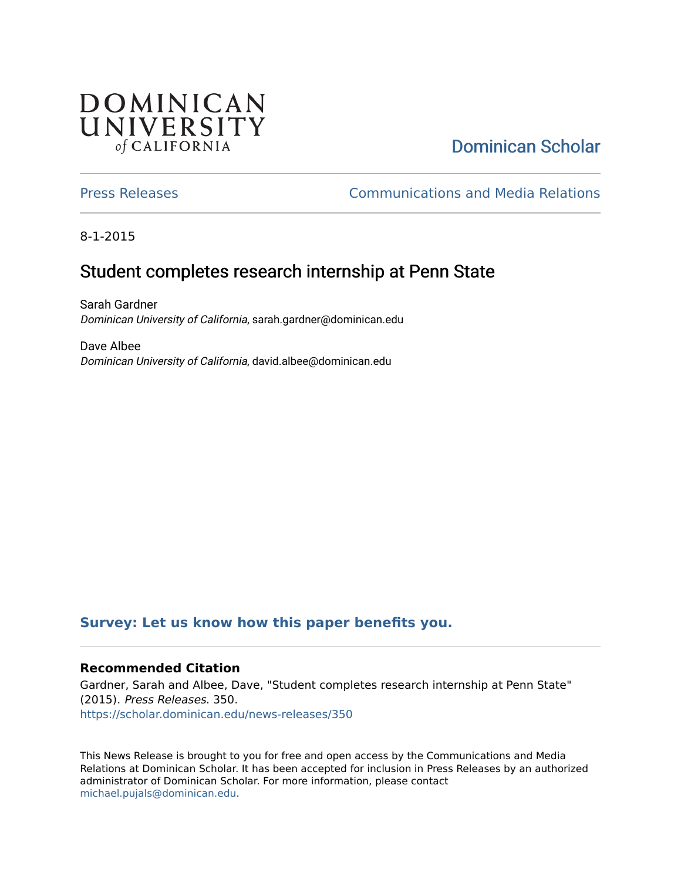## **DOMINICAN** UNIVERSITY of CALIFORNIA

# [Dominican Scholar](https://scholar.dominican.edu/)

[Press Releases](https://scholar.dominican.edu/news-releases) [Communications and Media Relations](https://scholar.dominican.edu/communications-media) 

8-1-2015

## Student completes research internship at Penn State

Sarah Gardner Dominican University of California, sarah.gardner@dominican.edu

Dave Albee Dominican University of California, david.albee@dominican.edu

#### **[Survey: Let us know how this paper benefits you.](https://dominican.libwizard.com/dominican-scholar-feedback)**

#### **Recommended Citation**

Gardner, Sarah and Albee, Dave, "Student completes research internship at Penn State" (2015). Press Releases. 350. [https://scholar.dominican.edu/news-releases/350](https://scholar.dominican.edu/news-releases/350?utm_source=scholar.dominican.edu%2Fnews-releases%2F350&utm_medium=PDF&utm_campaign=PDFCoverPages)

This News Release is brought to you for free and open access by the Communications and Media Relations at Dominican Scholar. It has been accepted for inclusion in Press Releases by an authorized administrator of Dominican Scholar. For more information, please contact [michael.pujals@dominican.edu.](mailto:michael.pujals@dominican.edu)